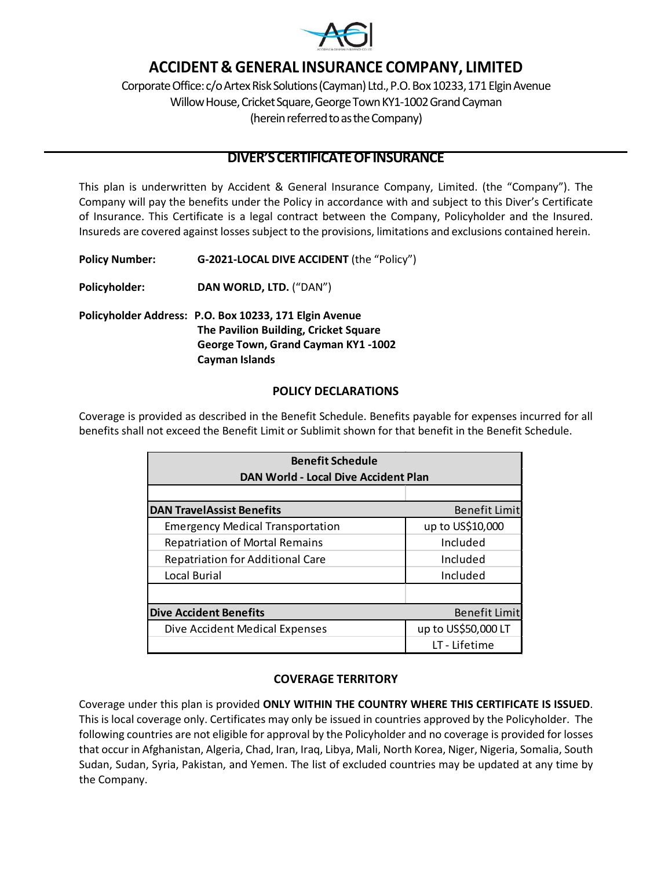

# **ACCIDENT & GENERAL INSURANCE COMPANY, LIMITED**

Corporate Office: c/o Artex Risk Solutions (Cayman) Ltd., P.O. Box 10233, 171 Elgin Avenue Willow House, Cricket Square, George Town KY1-1002 Grand Cayman (herein referred to as the Company)

# **DIVER'SCERTIFICATEOFINSURANCE**

This plan is underwritten by Accident & General Insurance Company, Limited. (the "Company"). The Company will pay the benefits under the Policy in accordance with and subject to this Diver's Certificate of Insurance. This Certificate is a legal contract between the Company, Policyholder and the Insured. Insureds are covered against lossessubject to the provisions, limitations and exclusions contained herein.

**Policy Number: G-2021-LOCAL DIVE ACCIDENT** (the "Policy")

**Policyholder: DAN WORLD, LTD.** ("DAN")

**Policyholder Address: P.O. Box 10233, 171 Elgin Avenue The Pavilion Building, Cricket Square George Town, Grand Cayman KY1 -1002 Cayman Islands**

## **POLICY DECLARATIONS**

Coverage is provided as described in the Benefit Schedule. Benefits payable for expenses incurred for all benefits shall not exceed the Benefit Limit or Sublimit shown for that benefit in the Benefit Schedule.

| <b>Benefit Schedule</b><br>DAN World - Local Dive Accident Plan |                      |
|-----------------------------------------------------------------|----------------------|
|                                                                 |                      |
| <b>DAN TravelAssist Benefits</b>                                | <b>Benefit Limit</b> |
| <b>Emergency Medical Transportation</b>                         | up to US\$10,000     |
| <b>Repatriation of Mortal Remains</b>                           | Included             |
| <b>Repatriation for Additional Care</b>                         | Included             |
| Local Burial                                                    | Included             |
|                                                                 |                      |
| <b>Dive Accident Benefits</b>                                   | Benefit Limit        |
| Dive Accident Medical Expenses                                  | up to US\$50,000 LT  |
|                                                                 | LT - Lifetime        |

# **COVERAGE TERRITORY**

Coverage under this plan is provided **ONLY WITHIN THE COUNTRY WHERE THIS CERTIFICATE IS ISSUED**. This is local coverage only. Certificates may only be issued in countries approved by the Policyholder. The following countries are not eligible for approval by the Policyholder and no coverage is provided for losses that occur in Afghanistan, Algeria, Chad, Iran, Iraq, Libya, Mali, North Korea, Niger, Nigeria, Somalia, South Sudan, Sudan, Syria, Pakistan, and Yemen. The list of excluded countries may be updated at any time by the Company.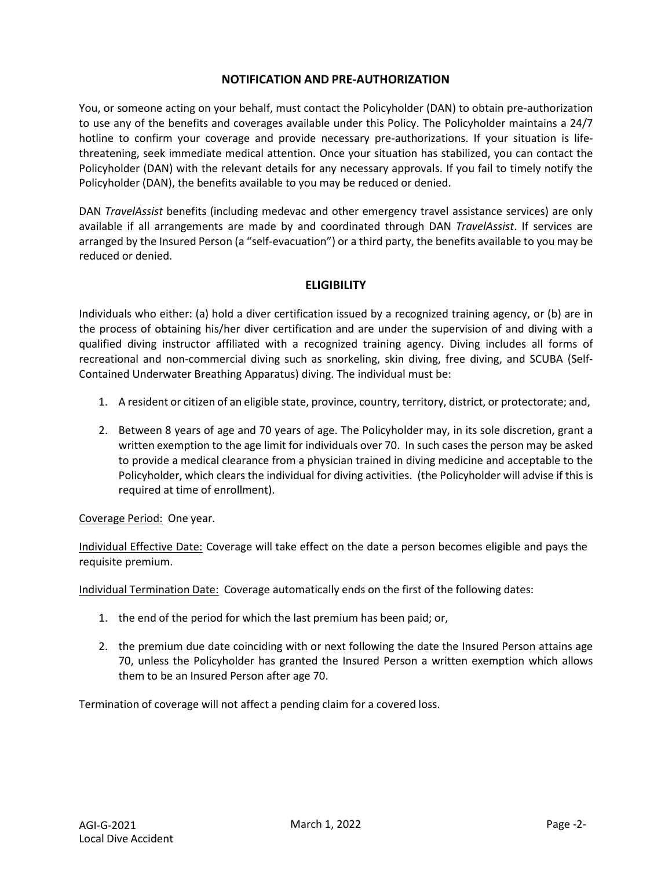#### **NOTIFICATION AND PRE-AUTHORIZATION**

You, or someone acting on your behalf, must contact the Policyholder (DAN) to obtain pre-authorization to use any of the benefits and coverages available under this Policy. The Policyholder maintains a 24/7 hotline to confirm your coverage and provide necessary pre-authorizations. If your situation is lifethreatening, seek immediate medical attention. Once your situation has stabilized, you can contact the Policyholder (DAN) with the relevant details for any necessary approvals. If you fail to timely notify the Policyholder (DAN), the benefits available to you may be reduced or denied.

DAN *TravelAssist* benefits (including medevac and other emergency travel assistance services) are only available if all arrangements are made by and coordinated through DAN *TravelAssist*. If services are arranged by the Insured Person (a "self-evacuation") or a third party, the benefits available to you may be reduced or denied.

## **ELIGIBILITY**

Individuals who either: (a) hold a diver certification issued by a recognized training agency, or (b) are in the process of obtaining his/her diver certification and are under the supervision of and diving with a qualified diving instructor affiliated with a recognized training agency. Diving includes all forms of recreational and non-commercial diving such as snorkeling, skin diving, free diving, and SCUBA (Self-Contained Underwater Breathing Apparatus) diving. The individual must be:

- 1. A resident or citizen of an eligible state, province, country, territory, district, or protectorate; and,
- 2. Between 8 years of age and 70 years of age. The Policyholder may, in its sole discretion, grant a written exemption to the age limit for individuals over 70. In such cases the person may be asked to provide a medical clearance from a physician trained in diving medicine and acceptable to the Policyholder, which clears the individual for diving activities. (the Policyholder will advise if this is required at time of enrollment).

Coverage Period: One year.

Individual Effective Date: Coverage will take effect on the date a person becomes eligible and pays the requisite premium.

Individual Termination Date: Coverage automatically ends on the first of the following dates:

- 1. the end of the period for which the last premium has been paid; or,
- 2. the premium due date coinciding with or next following the date the Insured Person attains age 70, unless the Policyholder has granted the Insured Person a written exemption which allows them to be an Insured Person after age 70.

Termination of coverage will not affect a pending claim for a covered loss.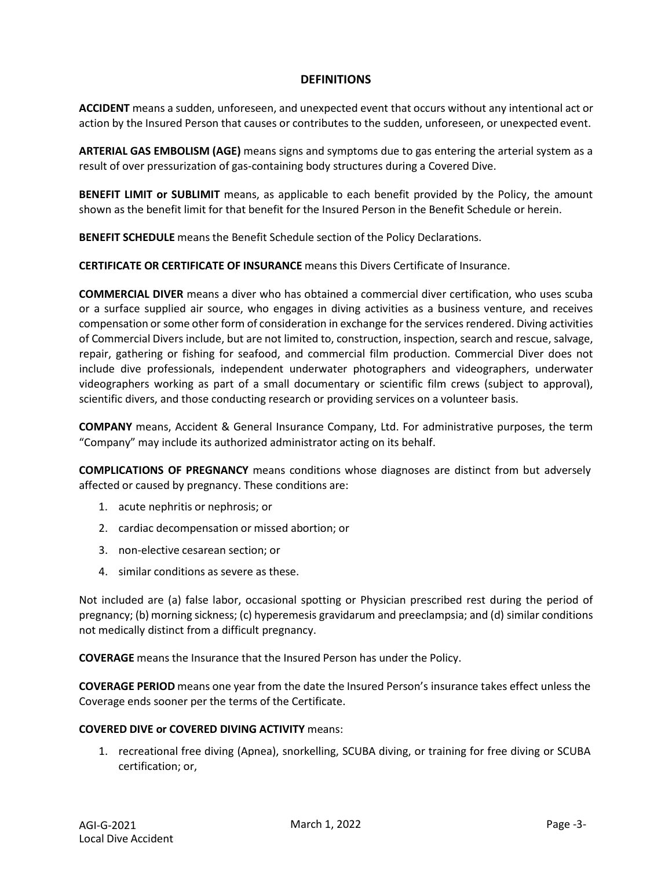## **DEFINITIONS**

**ACCIDENT** means a sudden, unforeseen, and unexpected event that occurs without any intentional act or action by the Insured Person that causes or contributes to the sudden, unforeseen, or unexpected event.

**ARTERIAL GAS EMBOLISM (AGE)** means signs and symptoms due to gas entering the arterial system as a result of over pressurization of gas-containing body structures during a Covered Dive.

**BENEFIT LIMIT or SUBLIMIT** means, as applicable to each benefit provided by the Policy, the amount shown as the benefit limit for that benefit for the Insured Person in the Benefit Schedule or herein.

**BENEFIT SCHEDULE** means the Benefit Schedule section of the Policy Declarations.

**CERTIFICATE OR CERTIFICATE OF INSURANCE** means this Divers Certificate of Insurance.

**COMMERCIAL DIVER** means a diver who has obtained a commercial diver certification, who uses scuba or a surface supplied air source, who engages in diving activities as a business venture, and receives compensation orsome other form of consideration in exchange for the services rendered. Diving activities of Commercial Divers include, but are not limited to, construction, inspection, search and rescue, salvage, repair, gathering or fishing for seafood, and commercial film production. Commercial Diver does not include dive professionals, independent underwater photographers and videographers, underwater videographers working as part of a small documentary or scientific film crews (subject to approval), scientific divers, and those conducting research or providing services on a volunteer basis.

**COMPANY** means, Accident & General Insurance Company, Ltd. For administrative purposes, the term "Company" may include its authorized administrator acting on its behalf.

**COMPLICATIONS OF PREGNANCY** means conditions whose diagnoses are distinct from but adversely affected or caused by pregnancy. These conditions are:

- 1. acute nephritis or nephrosis; or
- 2. cardiac decompensation or missed abortion; or
- 3. non-elective cesarean section; or
- 4. similar conditions as severe as these.

Not included are (a) false labor, occasional spotting or Physician prescribed rest during the period of pregnancy; (b) morning sickness; (c) hyperemesis gravidarum and preeclampsia; and (d) similar conditions not medically distinct from a difficult pregnancy.

**COVERAGE** means the Insurance that the Insured Person has under the Policy.

**COVERAGE PERIOD** means one year from the date the Insured Person's insurance takes effect unless the Coverage ends sooner per the terms of the Certificate.

#### **COVERED DIVE or COVERED DIVING ACTIVITY** means:

1. recreational free diving (Apnea), snorkelling, SCUBA diving, or training for free diving or SCUBA certification; or,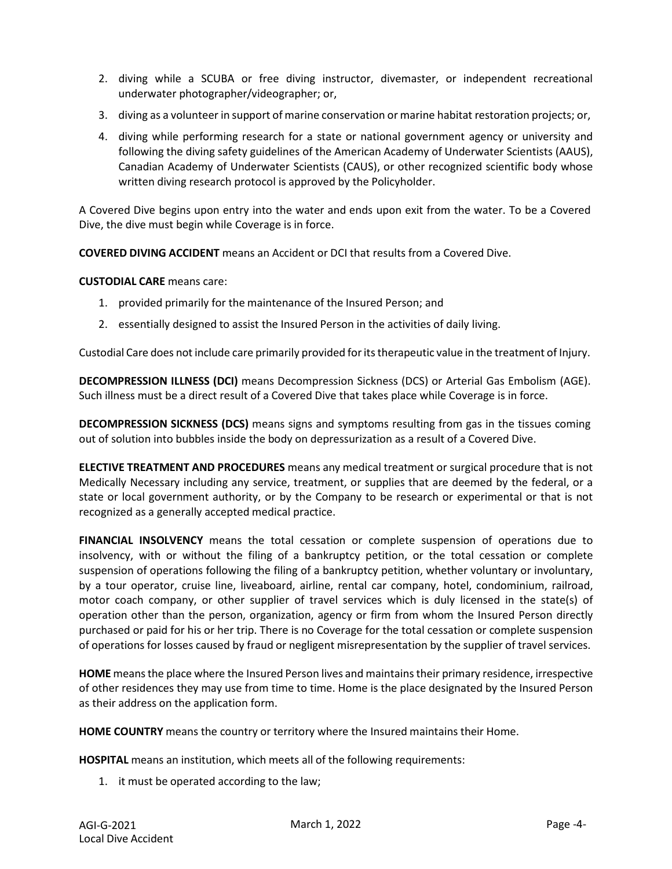- 2. diving while a SCUBA or free diving instructor, divemaster, or independent recreational underwater photographer/videographer; or,
- 3. diving as a volunteer in support of marine conservation or marine habitat restoration projects; or,
- 4. diving while performing research for a state or national government agency or university and following the diving safety guidelines of the American Academy of Underwater Scientists (AAUS), Canadian Academy of Underwater Scientists (CAUS), or other recognized scientific body whose written diving research protocol is approved by the Policyholder.

A Covered Dive begins upon entry into the water and ends upon exit from the water. To be a Covered Dive, the dive must begin while Coverage is in force.

**COVERED DIVING ACCIDENT** means an Accident or DCI that results from a Covered Dive.

**CUSTODIAL CARE** means care:

- 1. provided primarily for the maintenance of the Insured Person; and
- 2. essentially designed to assist the Insured Person in the activities of daily living.

Custodial Care does not include care primarily provided foritstherapeutic value in the treatment of Injury.

**DECOMPRESSION ILLNESS (DCI)** means Decompression Sickness (DCS) or Arterial Gas Embolism (AGE). Such illness must be a direct result of a Covered Dive that takes place while Coverage is in force.

**DECOMPRESSION SICKNESS (DCS)** means signs and symptoms resulting from gas in the tissues coming out of solution into bubbles inside the body on depressurization as a result of a Covered Dive.

**ELECTIVE TREATMENT AND PROCEDURES** means any medical treatment or surgical procedure that is not Medically Necessary including any service, treatment, or supplies that are deemed by the federal, or a state or local government authority, or by the Company to be research or experimental or that is not recognized as a generally accepted medical practice.

**FINANCIAL INSOLVENCY** means the total cessation or complete suspension of operations due to insolvency, with or without the filing of a bankruptcy petition, or the total cessation or complete suspension of operations following the filing of a bankruptcy petition, whether voluntary or involuntary, by a tour operator, cruise line, liveaboard, airline, rental car company, hotel, condominium, railroad, motor coach company, or other supplier of travel services which is duly licensed in the state(s) of operation other than the person, organization, agency or firm from whom the Insured Person directly purchased or paid for his or her trip. There is no Coverage for the total cessation or complete suspension of operations for losses caused by fraud or negligent misrepresentation by the supplier of travel services.

**HOME** means the place where the Insured Person lives and maintains their primary residence, irrespective of other residences they may use from time to time. Home is the place designated by the Insured Person as their address on the application form.

**HOME COUNTRY** means the country or territory where the Insured maintains their Home.

**HOSPITAL** means an institution, which meets all of the following requirements:

1. it must be operated according to the law;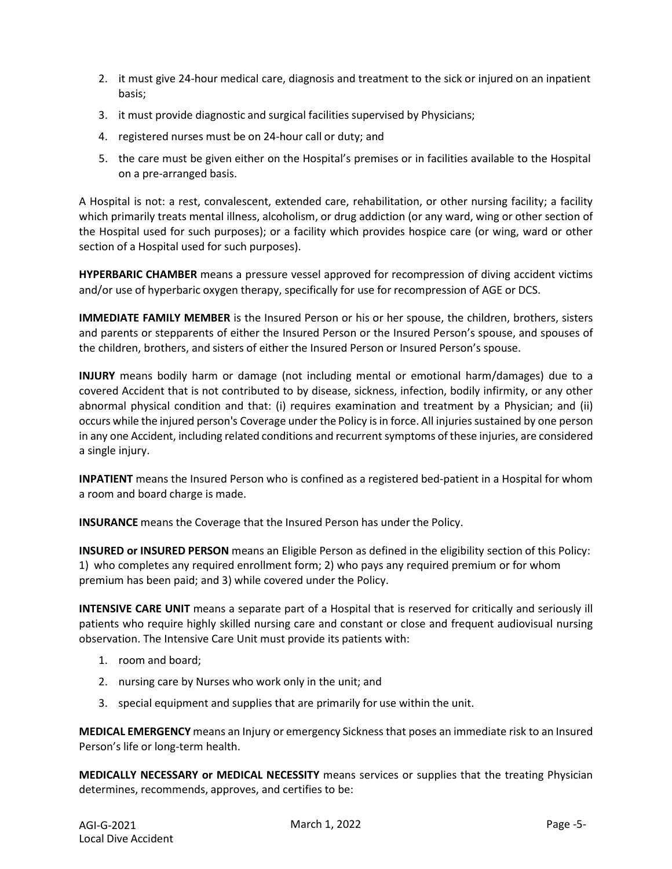- 2. it must give 24-hour medical care, diagnosis and treatment to the sick or injured on an inpatient basis;
- 3. it must provide diagnostic and surgical facilities supervised by Physicians;
- 4. registered nurses must be on 24-hour call or duty; and
- 5. the care must be given either on the Hospital's premises or in facilities available to the Hospital on a pre-arranged basis.

A Hospital is not: a rest, convalescent, extended care, rehabilitation, or other nursing facility; a facility which primarily treats mental illness, alcoholism, or drug addiction (or any ward, wing or other section of the Hospital used for such purposes); or a facility which provides hospice care (or wing, ward or other section of a Hospital used for such purposes).

**HYPERBARIC CHAMBER** means a pressure vessel approved for recompression of diving accident victims and/or use of hyperbaric oxygen therapy, specifically for use for recompression of AGE or DCS.

**IMMEDIATE FAMILY MEMBER** is the Insured Person or his or her spouse, the children, brothers, sisters and parents or stepparents of either the Insured Person or the Insured Person's spouse, and spouses of the children, brothers, and sisters of either the Insured Person or Insured Person's spouse.

**INJURY** means bodily harm or damage (not including mental or emotional harm/damages) due to a covered Accident that is not contributed to by disease, sickness, infection, bodily infirmity, or any other abnormal physical condition and that: (i) requires examination and treatment by a Physician; and (ii) occurs while the injured person's Coverage under the Policy is in force. All injuries sustained by one person in any one Accident, including related conditions and recurrentsymptoms of these injuries, are considered a single injury.

**INPATIENT** means the Insured Person who is confined as a registered bed-patient in a Hospital for whom a room and board charge is made.

**INSURANCE** means the Coverage that the Insured Person has under the Policy.

**INSURED or INSURED PERSON** means an Eligible Person as defined in the eligibility section of this Policy: 1) who completes any required enrollment form; 2) who pays any required premium or for whom premium has been paid; and 3) while covered under the Policy.

**INTENSIVE CARE UNIT** means a separate part of a Hospital that is reserved for critically and seriously ill patients who require highly skilled nursing care and constant or close and frequent audiovisual nursing observation. The Intensive Care Unit must provide its patients with:

- 1. room and board;
- 2. nursing care by Nurses who work only in the unit; and
- 3. special equipment and supplies that are primarily for use within the unit.

**MEDICAL EMERGENCY** means an Injury or emergency Sickness that poses an immediate risk to an Insured Person's life or long-term health.

**MEDICALLY NECESSARY or MEDICAL NECESSITY** means services or supplies that the treating Physician determines, recommends, approves, and certifies to be: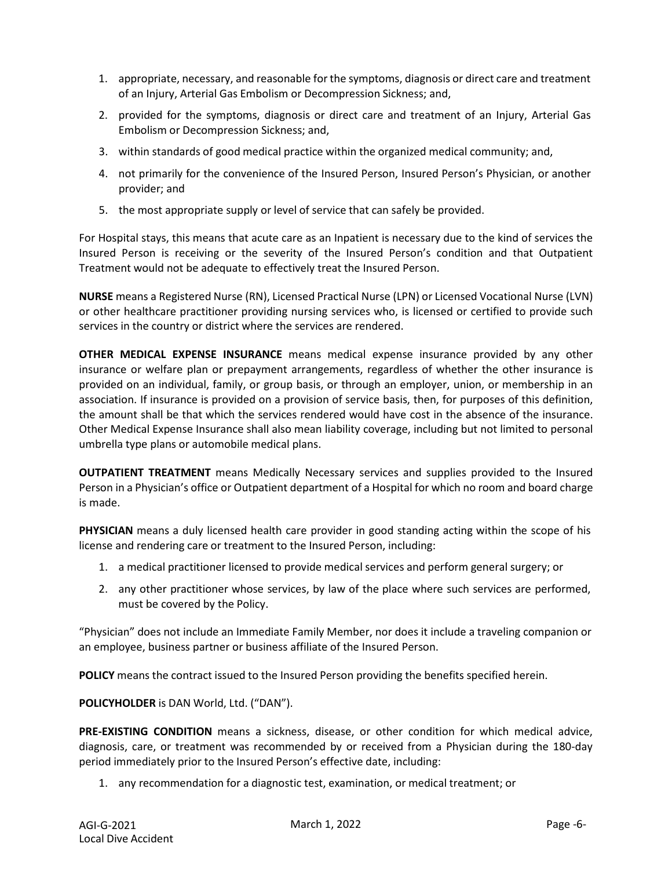- 1. appropriate, necessary, and reasonable forthe symptoms, diagnosis or direct care and treatment of an Injury, Arterial Gas Embolism or Decompression Sickness; and,
- 2. provided for the symptoms, diagnosis or direct care and treatment of an Injury, Arterial Gas Embolism or Decompression Sickness; and,
- 3. within standards of good medical practice within the organized medical community; and,
- 4. not primarily for the convenience of the Insured Person, Insured Person's Physician, or another provider; and
- 5. the most appropriate supply or level of service that can safely be provided.

For Hospital stays, this means that acute care as an Inpatient is necessary due to the kind of services the Insured Person is receiving or the severity of the Insured Person's condition and that Outpatient Treatment would not be adequate to effectively treat the Insured Person.

**NURSE** means a Registered Nurse (RN), Licensed Practical Nurse (LPN) or Licensed Vocational Nurse (LVN) or other healthcare practitioner providing nursing services who, is licensed or certified to provide such services in the country or district where the services are rendered.

**OTHER MEDICAL EXPENSE INSURANCE** means medical expense insurance provided by any other insurance or welfare plan or prepayment arrangements, regardless of whether the other insurance is provided on an individual, family, or group basis, or through an employer, union, or membership in an association. If insurance is provided on a provision of service basis, then, for purposes of this definition, the amount shall be that which the services rendered would have cost in the absence of the insurance. Other Medical Expense Insurance shall also mean liability coverage, including but not limited to personal umbrella type plans or automobile medical plans.

**OUTPATIENT TREATMENT** means Medically Necessary services and supplies provided to the Insured Person in a Physician's office or Outpatient department of a Hospital for which no room and board charge is made.

**PHYSICIAN** means a duly licensed health care provider in good standing acting within the scope of his license and rendering care or treatment to the Insured Person, including:

- 1. a medical practitioner licensed to provide medical services and perform general surgery; or
- 2. any other practitioner whose services, by law of the place where such services are performed, must be covered by the Policy.

"Physician" does not include an Immediate Family Member, nor does it include a traveling companion or an employee, business partner or business affiliate of the Insured Person.

**POLICY** means the contract issued to the Insured Person providing the benefits specified herein.

**POLICYHOLDER** is DAN World, Ltd. ("DAN").

**PRE-EXISTING CONDITION** means a sickness, disease, or other condition for which medical advice, diagnosis, care, or treatment was recommended by or received from a Physician during the 180-day period immediately prior to the Insured Person's effective date, including:

1. any recommendation for a diagnostic test, examination, or medical treatment; or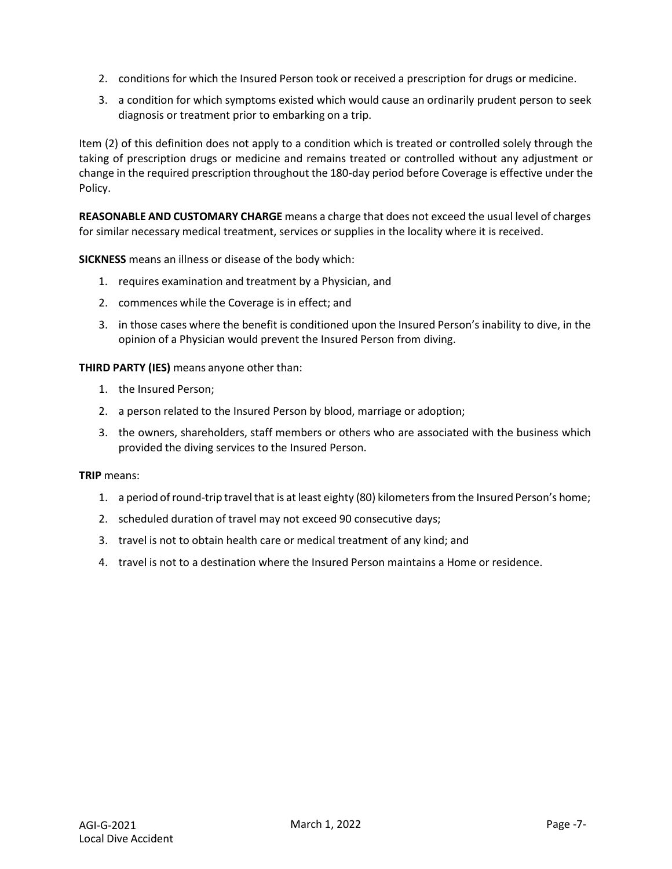- 2. conditions for which the Insured Person took or received a prescription for drugs or medicine.
- 3. a condition for which symptoms existed which would cause an ordinarily prudent person to seek diagnosis or treatment prior to embarking on a trip.

Item (2) of this definition does not apply to a condition which is treated or controlled solely through the taking of prescription drugs or medicine and remains treated or controlled without any adjustment or change in the required prescription throughout the 180-day period before Coverage is effective under the Policy.

**REASONABLE AND CUSTOMARY CHARGE** means a charge that does not exceed the usual level of charges for similar necessary medical treatment, services or supplies in the locality where it is received.

**SICKNESS** means an illness or disease of the body which:

- 1. requires examination and treatment by a Physician, and
- 2. commences while the Coverage is in effect; and
- 3. in those cases where the benefit is conditioned upon the Insured Person's inability to dive, in the opinion of a Physician would prevent the Insured Person from diving.

**THIRD PARTY (IES)** means anyone other than:

- 1. the Insured Person;
- 2. a person related to the Insured Person by blood, marriage or adoption;
- 3. the owners, shareholders, staff members or others who are associated with the business which provided the diving services to the Insured Person.

**TRIP** means:

- 1. a period of round-trip travel that is at least eighty (80) kilometers from the Insured Person's home;
- 2. scheduled duration of travel may not exceed 90 consecutive days;
- 3. travel is not to obtain health care or medical treatment of any kind; and
- 4. travel is not to a destination where the Insured Person maintains a Home or residence.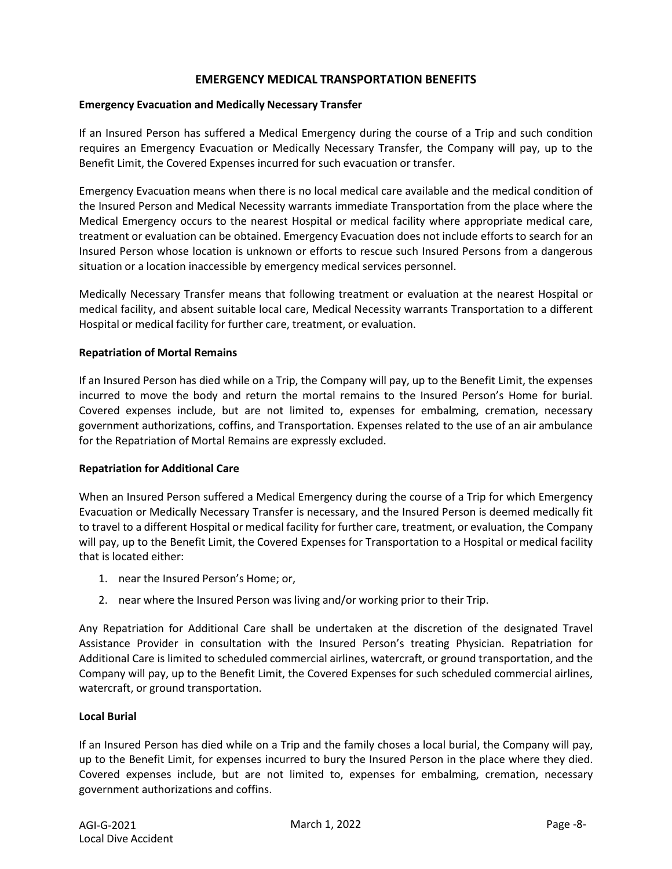#### **EMERGENCY MEDICAL TRANSPORTATION BENEFITS**

#### **Emergency Evacuation and Medically Necessary Transfer**

If an Insured Person has suffered a Medical Emergency during the course of a Trip and such condition requires an Emergency Evacuation or Medically Necessary Transfer, the Company will pay, up to the Benefit Limit, the Covered Expenses incurred for such evacuation or transfer.

Emergency Evacuation means when there is no local medical care available and the medical condition of the Insured Person and Medical Necessity warrants immediate Transportation from the place where the Medical Emergency occurs to the nearest Hospital or medical facility where appropriate medical care, treatment or evaluation can be obtained. Emergency Evacuation does not include efforts to search for an Insured Person whose location is unknown or efforts to rescue such Insured Persons from a dangerous situation or a location inaccessible by emergency medical services personnel.

Medically Necessary Transfer means that following treatment or evaluation at the nearest Hospital or medical facility, and absent suitable local care, Medical Necessity warrants Transportation to a different Hospital or medical facility for further care, treatment, or evaluation.

#### **Repatriation of Mortal Remains**

If an Insured Person has died while on a Trip, the Company will pay, up to the Benefit Limit, the expenses incurred to move the body and return the mortal remains to the Insured Person's Home for burial. Covered expenses include, but are not limited to, expenses for embalming, cremation, necessary government authorizations, coffins, and Transportation. Expenses related to the use of an air ambulance for the Repatriation of Mortal Remains are expressly excluded.

#### **Repatriation for Additional Care**

When an Insured Person suffered a Medical Emergency during the course of a Trip for which Emergency Evacuation or Medically Necessary Transfer is necessary, and the Insured Person is deemed medically fit to travel to a different Hospital or medical facility for further care, treatment, or evaluation, the Company will pay, up to the Benefit Limit, the Covered Expenses for Transportation to a Hospital or medical facility that is located either:

- 1. near the Insured Person's Home; or,
- 2. near where the Insured Person was living and/or working prior to their Trip.

Any Repatriation for Additional Care shall be undertaken at the discretion of the designated Travel Assistance Provider in consultation with the Insured Person's treating Physician. Repatriation for Additional Care is limited to scheduled commercial airlines, watercraft, or ground transportation, and the Company will pay, up to the Benefit Limit, the Covered Expenses for such scheduled commercial airlines, watercraft, or ground transportation.

#### **Local Burial**

If an Insured Person has died while on a Trip and the family choses a local burial, the Company will pay, up to the Benefit Limit, for expenses incurred to bury the Insured Person in the place where they died. Covered expenses include, but are not limited to, expenses for embalming, cremation, necessary government authorizations and coffins.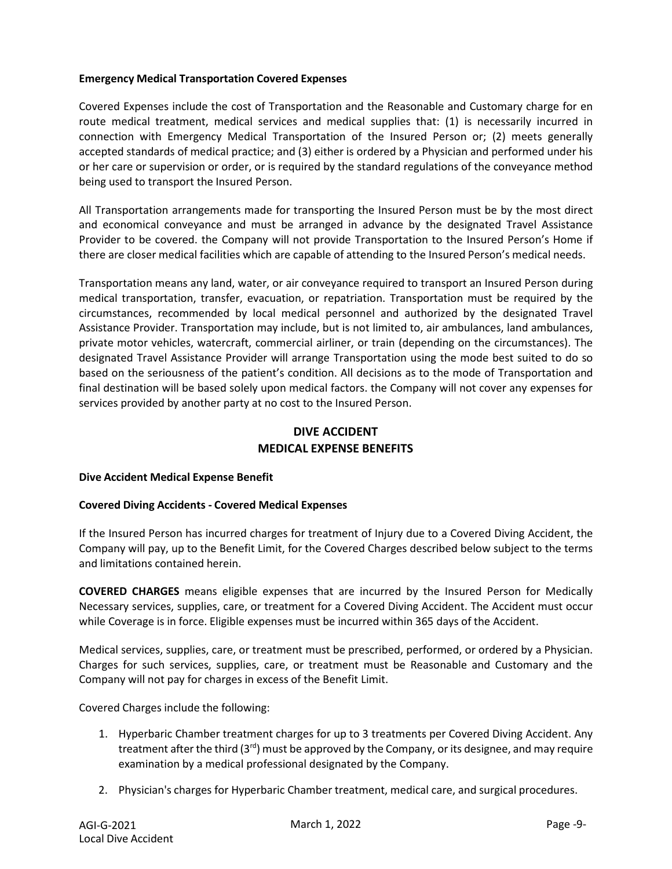#### **Emergency Medical Transportation Covered Expenses**

Covered Expenses include the cost of Transportation and the Reasonable and Customary charge for en route medical treatment, medical services and medical supplies that: (1) is necessarily incurred in connection with Emergency Medical Transportation of the Insured Person or; (2) meets generally accepted standards of medical practice; and (3) either is ordered by a Physician and performed under his or her care or supervision or order, or is required by the standard regulations of the conveyance method being used to transport the Insured Person.

All Transportation arrangements made for transporting the Insured Person must be by the most direct and economical conveyance and must be arranged in advance by the designated Travel Assistance Provider to be covered. the Company will not provide Transportation to the Insured Person's Home if there are closer medical facilities which are capable of attending to the Insured Person's medical needs.

Transportation means any land, water, or air conveyance required to transport an Insured Person during medical transportation, transfer, evacuation, or repatriation. Transportation must be required by the circumstances, recommended by local medical personnel and authorized by the designated Travel Assistance Provider. Transportation may include, but is not limited to, air ambulances, land ambulances, private motor vehicles, watercraft, commercial airliner, or train (depending on the circumstances). The designated Travel Assistance Provider will arrange Transportation using the mode best suited to do so based on the seriousness of the patient's condition. All decisions as to the mode of Transportation and final destination will be based solely upon medical factors. the Company will not cover any expenses for services provided by another party at no cost to the Insured Person.

# **DIVE ACCIDENT MEDICAL EXPENSE BENEFITS**

#### **Dive Accident Medical Expense Benefit**

#### **Covered Diving Accidents - Covered Medical Expenses**

If the Insured Person has incurred charges for treatment of Injury due to a Covered Diving Accident, the Company will pay, up to the Benefit Limit, for the Covered Charges described below subject to the terms and limitations contained herein.

**COVERED CHARGES** means eligible expenses that are incurred by the Insured Person for Medically Necessary services, supplies, care, or treatment for a Covered Diving Accident. The Accident must occur while Coverage is in force. Eligible expenses must be incurred within 365 days of the Accident.

Medical services, supplies, care, or treatment must be prescribed, performed, or ordered by a Physician. Charges for such services, supplies, care, or treatment must be Reasonable and Customary and the Company will not pay for charges in excess of the Benefit Limit.

Covered Charges include the following:

- 1. Hyperbaric Chamber treatment charges for up to 3 treatments per Covered Diving Accident. Any treatment after the third  $(3<sup>rd</sup>)$  must be approved by the Company, or its designee, and may require examination by a medical professional designated by the Company.
- 2. Physician's charges for Hyperbaric Chamber treatment, medical care, and surgical procedures.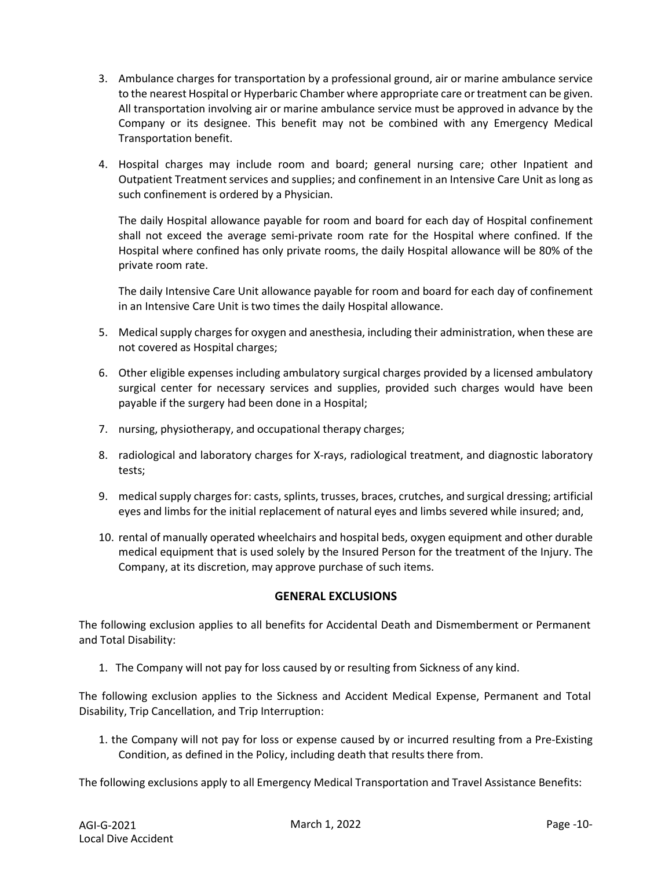- 3. Ambulance charges for transportation by a professional ground, air or marine ambulance service to the nearest Hospital or Hyperbaric Chamber where appropriate care or treatment can be given. All transportation involving air or marine ambulance service must be approved in advance by the Company or its designee. This benefit may not be combined with any Emergency Medical Transportation benefit.
- 4. Hospital charges may include room and board; general nursing care; other Inpatient and Outpatient Treatment services and supplies; and confinement in an Intensive Care Unit as long as such confinement is ordered by a Physician.

The daily Hospital allowance payable for room and board for each day of Hospital confinement shall not exceed the average semi-private room rate for the Hospital where confined. If the Hospital where confined has only private rooms, the daily Hospital allowance will be 80% of the private room rate.

The daily Intensive Care Unit allowance payable for room and board for each day of confinement in an Intensive Care Unit is two times the daily Hospital allowance.

- 5. Medical supply charges for oxygen and anesthesia, including their administration, when these are not covered as Hospital charges;
- 6. Other eligible expenses including ambulatory surgical charges provided by a licensed ambulatory surgical center for necessary services and supplies, provided such charges would have been payable if the surgery had been done in a Hospital;
- 7. nursing, physiotherapy, and occupational therapy charges;
- 8. radiological and laboratory charges for X-rays, radiological treatment, and diagnostic laboratory tests;
- 9. medical supply charges for: casts, splints, trusses, braces, crutches, and surgical dressing; artificial eyes and limbs for the initial replacement of natural eyes and limbs severed while insured; and,
- 10. rental of manually operated wheelchairs and hospital beds, oxygen equipment and other durable medical equipment that is used solely by the Insured Person for the treatment of the Injury. The Company, at its discretion, may approve purchase of such items.

#### **GENERAL EXCLUSIONS**

The following exclusion applies to all benefits for Accidental Death and Dismemberment or Permanent and Total Disability:

1. The Company will not pay for loss caused by or resulting from Sickness of any kind.

The following exclusion applies to the Sickness and Accident Medical Expense, Permanent and Total Disability, Trip Cancellation, and Trip Interruption:

1. the Company will not pay for loss or expense caused by or incurred resulting from a Pre-Existing Condition, as defined in the Policy, including death that results there from.

The following exclusions apply to all Emergency Medical Transportation and Travel Assistance Benefits: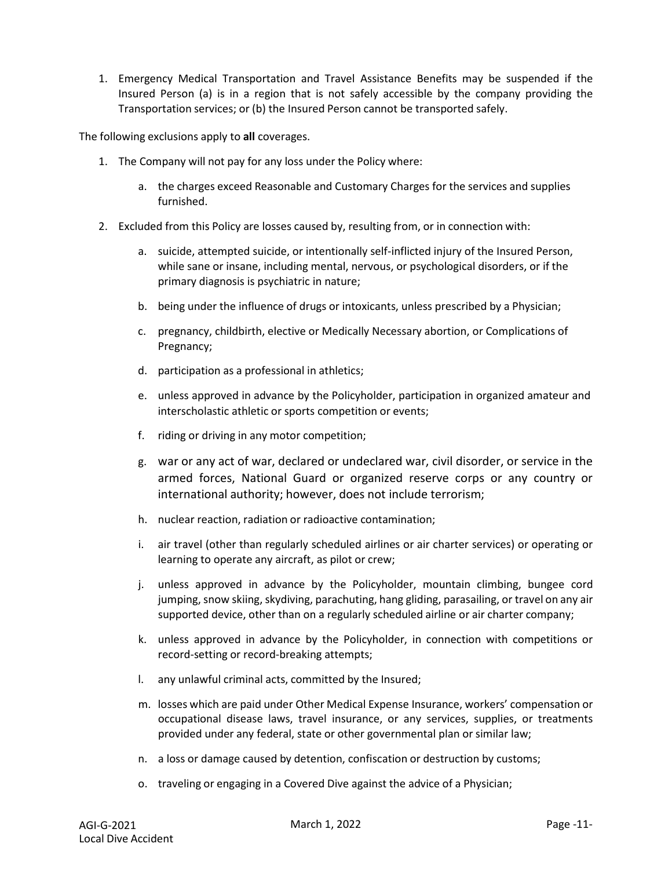1. Emergency Medical Transportation and Travel Assistance Benefits may be suspended if the Insured Person (a) is in a region that is not safely accessible by the company providing the Transportation services; or (b) the Insured Person cannot be transported safely.

The following exclusions apply to **all** coverages.

- 1. The Company will not pay for any loss under the Policy where:
	- a. the charges exceed Reasonable and Customary Charges for the services and supplies furnished.
- 2. Excluded from this Policy are losses caused by, resulting from, or in connection with:
	- a. suicide, attempted suicide, or intentionally self-inflicted injury of the Insured Person, while sane or insane, including mental, nervous, or psychological disorders, or if the primary diagnosis is psychiatric in nature;
	- b. being under the influence of drugs or intoxicants, unless prescribed by a Physician;
	- c. pregnancy, childbirth, elective or Medically Necessary abortion, or Complications of Pregnancy;
	- d. participation as a professional in athletics;
	- e. unless approved in advance by the Policyholder, participation in organized amateur and interscholastic athletic or sports competition or events;
	- f. riding or driving in any motor competition;
	- g. war or any act of war, declared or undeclared war, civil disorder, or service in the armed forces, National Guard or organized reserve corps or any country or international authority; however, does not include terrorism;
	- h. nuclear reaction, radiation or radioactive contamination;
	- i. air travel (other than regularly scheduled airlines or air charter services) or operating or learning to operate any aircraft, as pilot or crew;
	- j. unless approved in advance by the Policyholder, mountain climbing, bungee cord jumping, snow skiing, skydiving, parachuting, hang gliding, parasailing, or travel on any air supported device, other than on a regularly scheduled airline or air charter company;
	- k. unless approved in advance by the Policyholder, in connection with competitions or record-setting or record-breaking attempts;
	- l. any unlawful criminal acts, committed by the Insured;
	- m. losses which are paid under Other Medical Expense Insurance, workers' compensation or occupational disease laws, travel insurance, or any services, supplies, or treatments provided under any federal, state or other governmental plan or similar law;
	- n. a loss or damage caused by detention, confiscation or destruction by customs;
	- o. traveling or engaging in a Covered Dive against the advice of a Physician;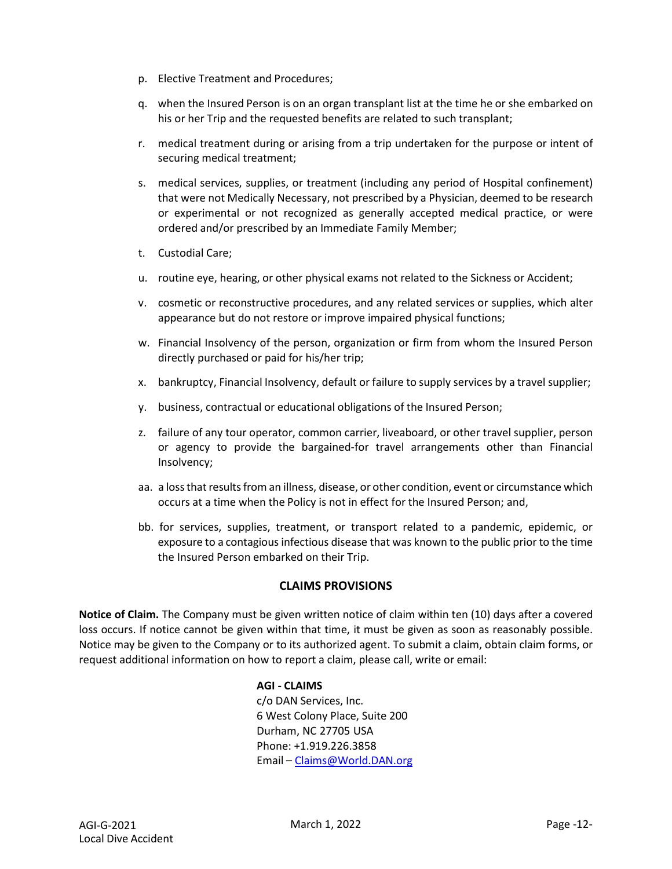- p. Elective Treatment and Procedures;
- q. when the Insured Person is on an organ transplant list at the time he or she embarked on his or her Trip and the requested benefits are related to such transplant;
- r. medical treatment during or arising from a trip undertaken for the purpose or intent of securing medical treatment;
- s. medical services, supplies, or treatment (including any period of Hospital confinement) that were not Medically Necessary, not prescribed by a Physician, deemed to be research or experimental or not recognized as generally accepted medical practice, or were ordered and/or prescribed by an Immediate Family Member;
- t. Custodial Care;
- u. routine eye, hearing, or other physical exams not related to the Sickness or Accident;
- v. cosmetic or reconstructive procedures, and any related services or supplies, which alter appearance but do not restore or improve impaired physical functions;
- w. Financial Insolvency of the person, organization or firm from whom the Insured Person directly purchased or paid for his/her trip;
- x. bankruptcy, Financial Insolvency, default or failure to supply services by a travel supplier;
- y. business, contractual or educational obligations of the Insured Person;
- z. failure of any tour operator, common carrier, liveaboard, or other travel supplier, person or agency to provide the bargained-for travel arrangements other than Financial Insolvency;
- aa. a loss that results from an illness, disease, or other condition, event or circumstance which occurs at a time when the Policy is not in effect for the Insured Person; and,
- bb. for services, supplies, treatment, or transport related to a pandemic, epidemic, or exposure to a contagious infectious disease that was known to the public prior to the time the Insured Person embarked on their Trip.

# **CLAIMS PROVISIONS**

**Notice of Claim.** The Company must be given written notice of claim within ten (10) days after a covered loss occurs. If notice cannot be given within that time, it must be given as soon as reasonably possible. Notice may be given to the Company or to its authorized agent. To submit a claim, obtain claim forms, or request additional information on how to report a claim, please call, write or email:

## **AGI - CLAIMS** c/o DAN Services, Inc. 6 West Colony Place, Suite 200 Durham, NC 27705 USA Phone: +1.919.226.3858 Email – [Claims@World.DAN.org](mailto:Claims@World.DAN.org)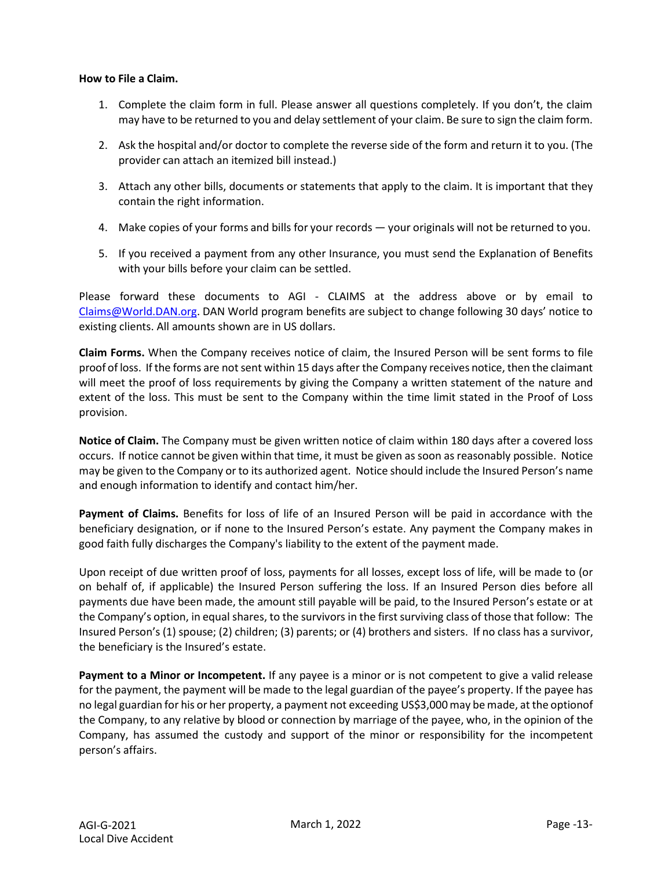#### **How to File a Claim.**

- 1. Complete the claim form in full. Please answer all questions completely. If you don't, the claim may have to be returned to you and delay settlement of your claim. Be sure to sign the claim form.
- 2. Ask the hospital and/or doctor to complete the reverse side of the form and return it to you. (The provider can attach an itemized bill instead.)
- 3. Attach any other bills, documents or statements that apply to the claim. It is important that they contain the right information.
- 4. Make copies of your forms and bills for your records your originals will not be returned to you.
- 5. If you received a payment from any other Insurance, you must send the Explanation of Benefits with your bills before your claim can be settled.

Please forward these documents to AGI - CLAIMS at the address above or by email to [Claims@World.DAN.org.](mailto:Claims@World.DAN.org) DAN World program benefits are subject to change following 30 days' notice to existing clients. All amounts shown are in US dollars.

**Claim Forms.** When the Company receives notice of claim, the Insured Person will be sent forms to file proof of loss. If the forms are not sent within 15 days after the Company receives notice, then the claimant will meet the proof of loss requirements by giving the Company a written statement of the nature and extent of the loss. This must be sent to the Company within the time limit stated in the Proof of Loss provision.

**Notice of Claim.** The Company must be given written notice of claim within 180 days after a covered loss occurs. If notice cannot be given within that time, it must be given as soon as reasonably possible. Notice may be given to the Company or to its authorized agent. Notice should include the Insured Person's name and enough information to identify and contact him/her.

**Payment of Claims.** Benefits for loss of life of an Insured Person will be paid in accordance with the beneficiary designation, or if none to the Insured Person's estate. Any payment the Company makes in good faith fully discharges the Company's liability to the extent of the payment made.

Upon receipt of due written proof of loss, payments for all losses, except loss of life, will be made to (or on behalf of, if applicable) the Insured Person suffering the loss. If an Insured Person dies before all payments due have been made, the amount still payable will be paid, to the Insured Person's estate or at the Company's option, in equal shares, to the survivors in the first surviving class of those that follow: The Insured Person's (1) spouse; (2) children; (3) parents; or (4) brothers and sisters. If no class has a survivor, the beneficiary is the Insured's estate.

**Payment to a Minor or Incompetent.** If any payee is a minor or is not competent to give a valid release for the payment, the payment will be made to the legal guardian of the payee's property. If the payee has no legal guardian for his or her property, a payment not exceeding US\$3,000may be made, at the optionof the Company, to any relative by blood or connection by marriage of the payee, who, in the opinion of the Company, has assumed the custody and support of the minor or responsibility for the incompetent person's affairs.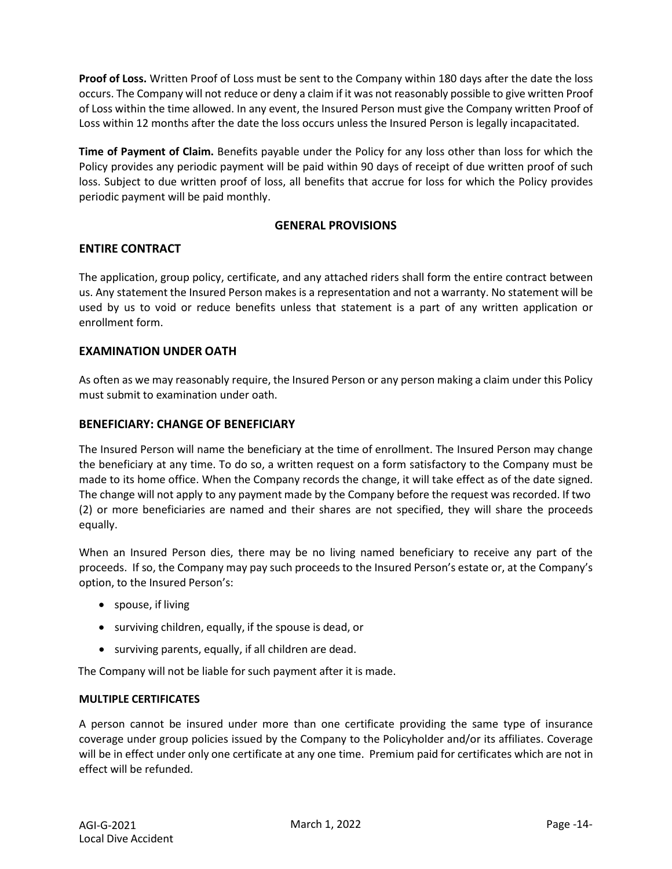**Proof of Loss.** Written Proof of Loss must be sent to the Company within 180 days after the date the loss occurs. The Company will not reduce or deny a claim if it was not reasonably possible to give written Proof of Loss within the time allowed. In any event, the Insured Person must give the Company written Proof of Loss within 12 months after the date the loss occurs unless the Insured Person is legally incapacitated.

**Time of Payment of Claim.** Benefits payable under the Policy for any loss other than loss for which the Policy provides any periodic payment will be paid within 90 days of receipt of due written proof of such loss. Subject to due written proof of loss, all benefits that accrue for loss for which the Policy provides periodic payment will be paid monthly.

# **GENERAL PROVISIONS**

## **ENTIRE CONTRACT**

The application, group policy, certificate, and any attached riders shall form the entire contract between us. Any statement the Insured Person makes is a representation and not a warranty. No statement will be used by us to void or reduce benefits unless that statement is a part of any written application or enrollment form.

## **EXAMINATION UNDER OATH**

As often as we may reasonably require, the Insured Person or any person making a claim under this Policy must submit to examination under oath.

#### **BENEFICIARY: CHANGE OF BENEFICIARY**

The Insured Person will name the beneficiary at the time of enrollment. The Insured Person may change the beneficiary at any time. To do so, a written request on a form satisfactory to the Company must be made to its home office. When the Company records the change, it will take effect as of the date signed. The change will not apply to any payment made by the Company before the request was recorded. If two (2) or more beneficiaries are named and their shares are not specified, they will share the proceeds equally.

When an Insured Person dies, there may be no living named beneficiary to receive any part of the proceeds. If so, the Company may pay such proceeds to the Insured Person's estate or, at the Company's option, to the Insured Person's:

- spouse, if living
- surviving children, equally, if the spouse is dead, or
- surviving parents, equally, if all children are dead.

The Company will not be liable for such payment after it is made.

#### **MULTIPLE CERTIFICATES**

A person cannot be insured under more than one certificate providing the same type of insurance coverage under group policies issued by the Company to the Policyholder and/or its affiliates. Coverage will be in effect under only one certificate at any one time. Premium paid for certificates which are not in effect will be refunded.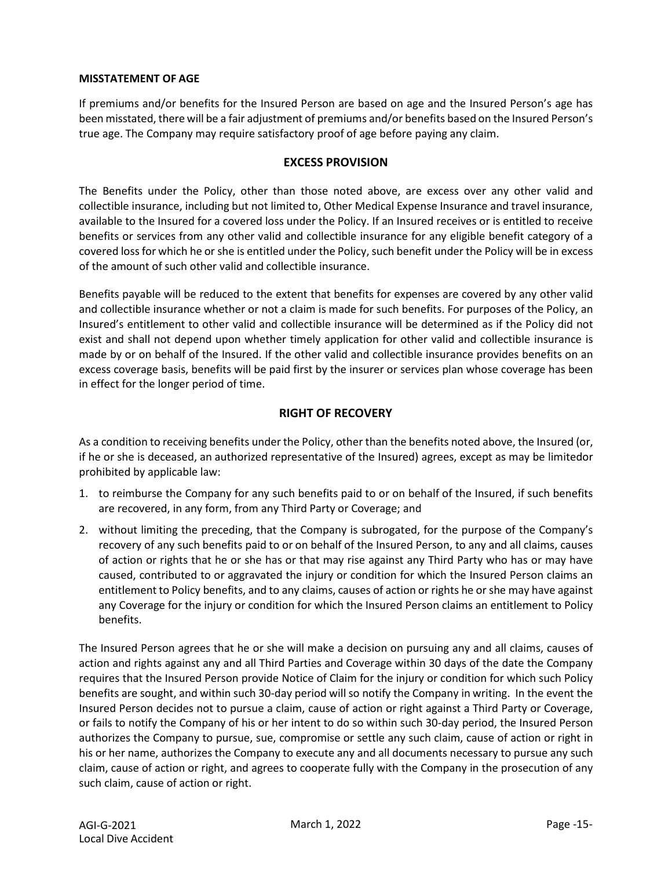#### **MISSTATEMENT OF AGE**

If premiums and/or benefits for the Insured Person are based on age and the Insured Person's age has been misstated, there will be a fair adjustment of premiums and/or benefits based on the Insured Person's true age. The Company may require satisfactory proof of age before paying any claim.

#### **EXCESS PROVISION**

The Benefits under the Policy, other than those noted above, are excess over any other valid and collectible insurance, including but not limited to, Other Medical Expense Insurance and travel insurance, available to the Insured for a covered loss under the Policy. If an Insured receives or is entitled to receive benefits or services from any other valid and collectible insurance for any eligible benefit category of a covered loss for which he or she is entitled under the Policy, such benefit under the Policy will be in excess of the amount of such other valid and collectible insurance.

Benefits payable will be reduced to the extent that benefits for expenses are covered by any other valid and collectible insurance whether or not a claim is made for such benefits. For purposes of the Policy, an Insured's entitlement to other valid and collectible insurance will be determined as if the Policy did not exist and shall not depend upon whether timely application for other valid and collectible insurance is made by or on behalf of the Insured. If the other valid and collectible insurance provides benefits on an excess coverage basis, benefits will be paid first by the insurer or services plan whose coverage has been in effect for the longer period of time.

## **RIGHT OF RECOVERY**

As a condition to receiving benefits under the Policy, other than the benefits noted above, the Insured (or, if he or she is deceased, an authorized representative of the Insured) agrees, except as may be limitedor prohibited by applicable law:

- 1. to reimburse the Company for any such benefits paid to or on behalf of the Insured, if such benefits are recovered, in any form, from any Third Party or Coverage; and
- 2. without limiting the preceding, that the Company is subrogated, for the purpose of the Company's recovery of any such benefits paid to or on behalf of the Insured Person, to any and all claims, causes of action or rights that he or she has or that may rise against any Third Party who has or may have caused, contributed to or aggravated the injury or condition for which the Insured Person claims an entitlement to Policy benefits, and to any claims, causes of action or rights he orshe may have against any Coverage for the injury or condition for which the Insured Person claims an entitlement to Policy benefits.

The Insured Person agrees that he or she will make a decision on pursuing any and all claims, causes of action and rights against any and all Third Parties and Coverage within 30 days of the date the Company requires that the Insured Person provide Notice of Claim for the injury or condition for which such Policy benefits are sought, and within such 30-day period will so notify the Company in writing. In the event the Insured Person decides not to pursue a claim, cause of action or right against a Third Party or Coverage, or fails to notify the Company of his or her intent to do so within such 30-day period, the Insured Person authorizes the Company to pursue, sue, compromise or settle any such claim, cause of action or right in his or her name, authorizes the Company to execute any and all documents necessary to pursue any such claim, cause of action or right, and agrees to cooperate fully with the Company in the prosecution of any such claim, cause of action or right.